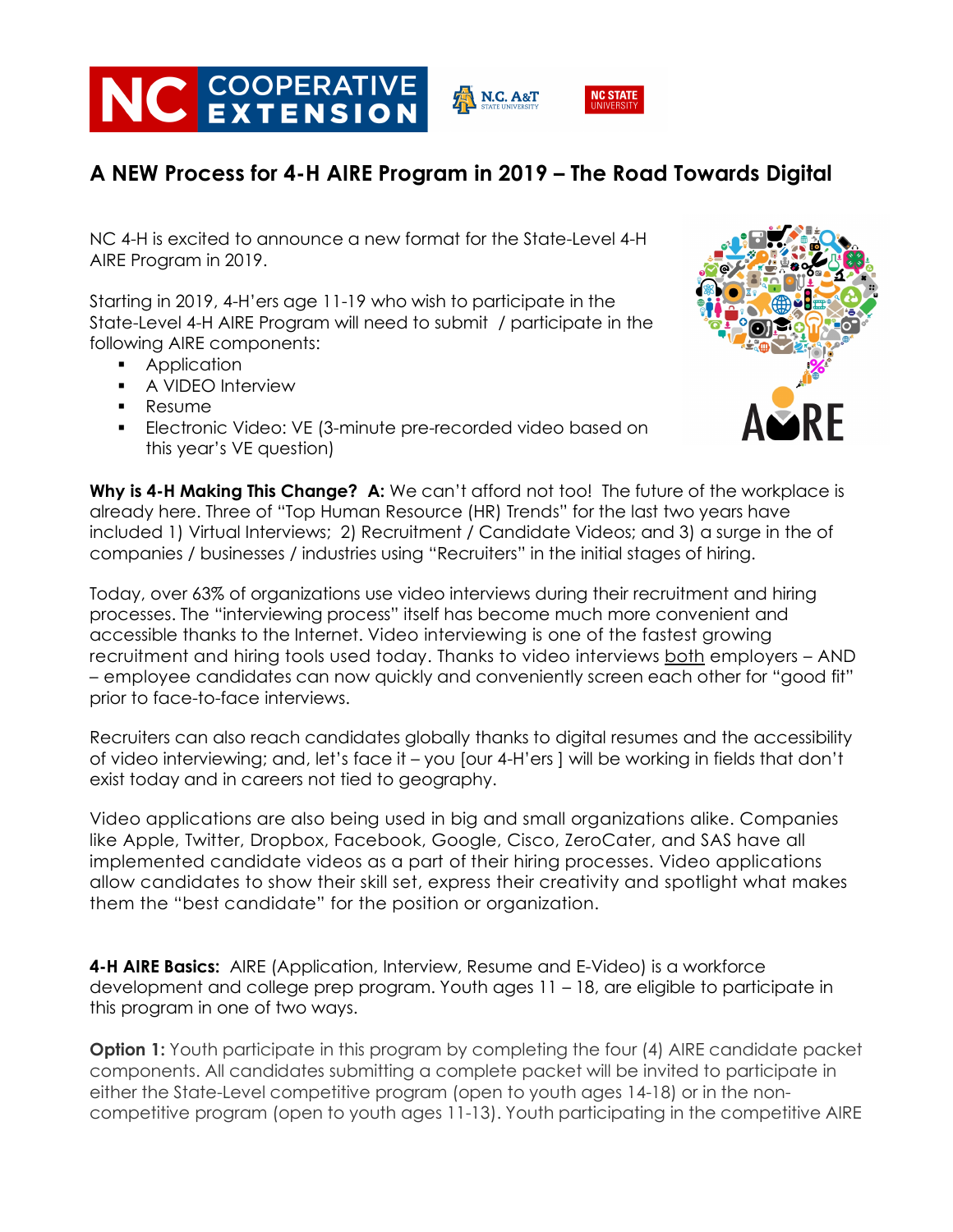

## **A NEW Process for 4-H AIRE Program in 2019 – The Road Towards Digital**

NC 4-H is excited to announce a new format for the State-Level 4-H AIRE Program in 2019.

Starting in 2019, 4-H'ers age 11-19 who wish to participate in the State-Level 4-H AIRE Program will need to submit / participate in the following AIRE components:

- Application
- **•** A VIDEO Interview
- § Resume
- Electronic Video: VE (3-minute pre-recorded video based on this year's VE question)



**Why is 4-H Making This Change? A:** We can't afford not too! The future of the workplace is already here. Three of "Top Human Resource (HR) Trends" for the last two years have included 1) Virtual Interviews; 2) Recruitment / Candidate Videos; and 3) a surge in the of companies / businesses / industries using "Recruiters" in the initial stages of hiring.

Today, over 63% of organizations use video interviews during their recruitment and hiring processes. The "interviewing process" itself has become much more convenient and accessible thanks to the Internet. Video interviewing is one of the fastest growing recruitment and hiring tools used today. Thanks to video interviews both employers – AND – employee candidates can now quickly and conveniently screen each other for "good fit" prior to face-to-face interviews.

Recruiters can also reach candidates globally thanks to digital resumes and the accessibility of video interviewing; and, let's face it – you [our 4-H'ers ] will be working in fields that don't exist today and in careers not tied to geography.

Video applications are also being used in big and small organizations alike. Companies like Apple, Twitter, Dropbox, Facebook, Google, Cisco, ZeroCater, and SAS have all implemented candidate videos as a part of their hiring processes. Video applications allow candidates to show their skill set, express their creativity and spotlight what makes them the "best candidate" for the position or organization.

**4-H AIRE Basics:** AIRE (Application, Interview, Resume and E-Video) is a workforce development and college prep program. Youth ages 11 – 18, are eligible to participate in this program in one of two ways.

**Option 1:** Youth participate in this program by completing the four (4) AIRE candidate packet components. All candidates submitting a complete packet will be invited to participate in either the State-Level competitive program (open to youth ages 14-18) or in the noncompetitive program (open to youth ages 11-13). Youth participating in the competitive AIRE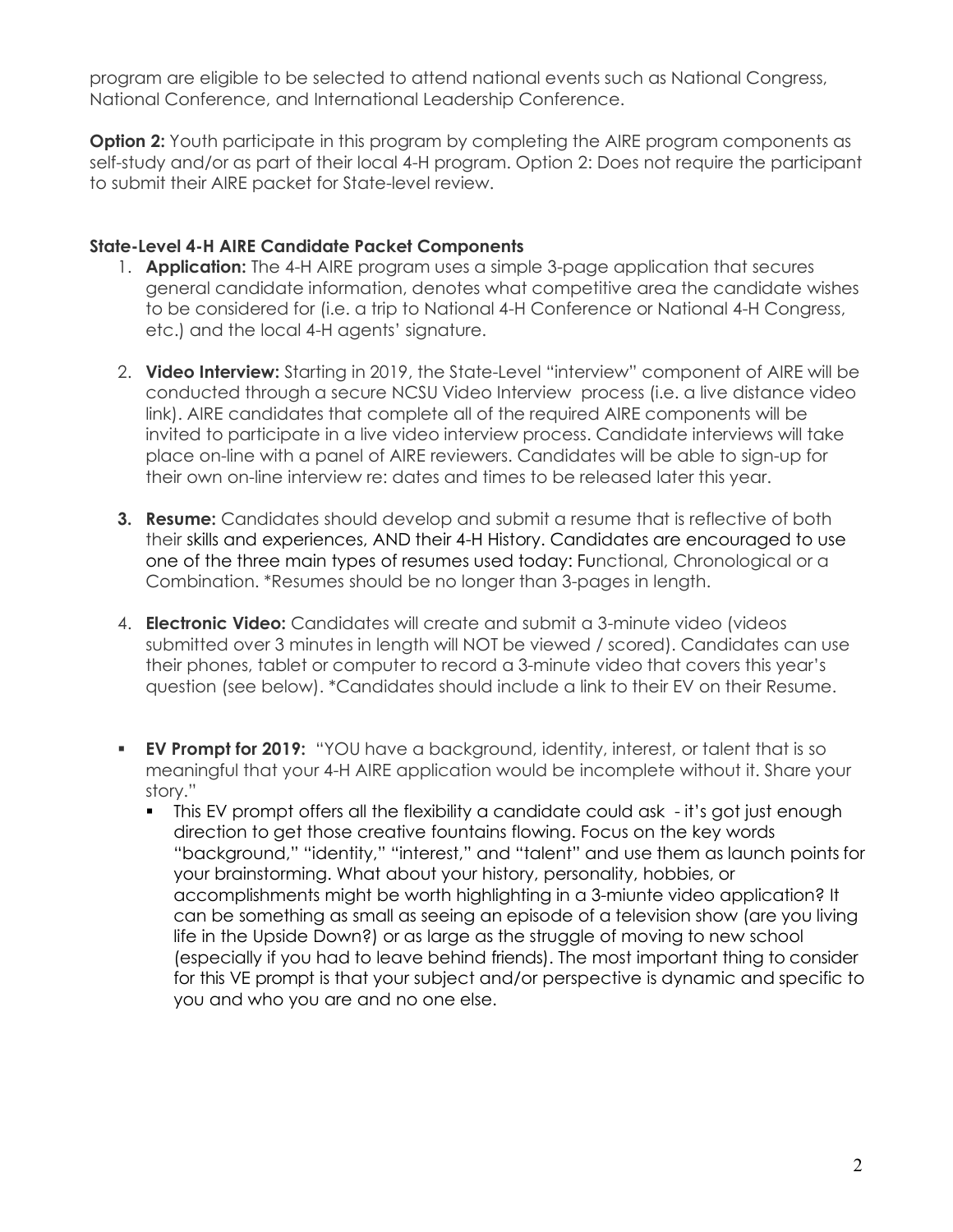program are eligible to be selected to attend national events such as National Congress, National Conference, and International Leadership Conference.

**Option 2:** Youth participate in this program by completing the AIRE program components as self-study and/or as part of their local 4-H program. Option 2: Does not require the participant to submit their AIRE packet for State-level review.

## **State-Level 4-H AIRE Candidate Packet Components**

- 1. **Application:** The 4-H AIRE program uses a simple 3-page application that secures general candidate information, denotes what competitive area the candidate wishes to be considered for (i.e. a trip to National 4-H Conference or National 4-H Congress, etc.) and the local 4-H agents' signature.
- 2. **Video Interview:** Starting in 2019, the State-Level "interview" component of AIRE will be conducted through a secure NCSU Video Interview process (i.e. a live distance video link). AIRE candidates that complete all of the required AIRE components will be invited to participate in a live video interview process. Candidate interviews will take place on-line with a panel of AIRE reviewers. Candidates will be able to sign-up for their own on-line interview re: dates and times to be released later this year.
- **3. Resume:** Candidates should develop and submit a resume that is reflective of both their skills and experiences, AND their 4-H History. Candidates are encouraged to use one of the three main types of resumes used today: Functional, Chronological or a Combination. \*Resumes should be no longer than 3-pages in length.
- 4. **Electronic Video:** Candidates will create and submit a 3-minute video (videos submitted over 3 minutes in length will NOT be viewed / scored). Candidates can use their phones, tablet or computer to record a 3-minute video that covers this year's question (see below). \*Candidates should include a link to their EV on their Resume.
- **EV Prompt for 2019:** "YOU have a background, identity, interest, or talent that is so meaningful that your 4-H AIRE application would be incomplete without it. Share your story."
	- This EV prompt offers all the flexibility a candidate could ask it's got just enough direction to get those creative fountains flowing. Focus on the key words "background," "identity," "interest," and "talent" and use them as launch points for your brainstorming. What about your history, personality, hobbies, or accomplishments might be worth highlighting in a 3-miunte video application? It can be something as small as seeing an episode of a television show (are you living life in the Upside Down?) or as large as the struggle of moving to new school (especially if you had to leave behind friends). The most important thing to consider for this VE prompt is that your subject and/or perspective is dynamic and specific to you and who you are and no one else.